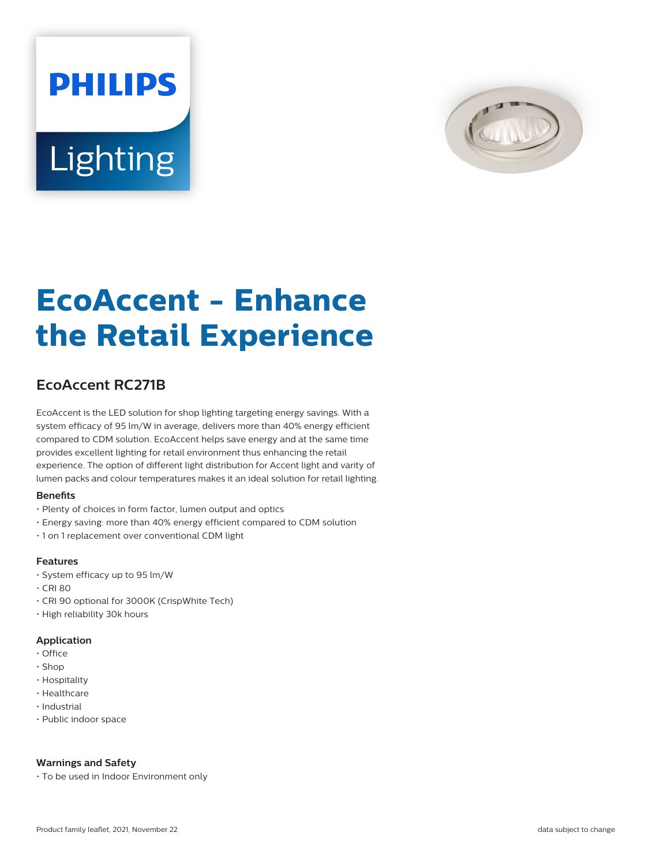# **PHILIPS** Lighting



# **EcoAccent - Enhance the Retail Experience**

# **EcoAccent RC271B**

EcoAccent is the LED solution for shop lighting targeting energy savings. With a system efficacy of 95 lm/W in average, delivers more than 40% energy efficient compared to CDM solution. EcoAccent helps save energy and at the same time provides excellent lighting for retail environment thus enhancing the retail experience. The option of different light distribution for Accent light and varity of lumen packs and colour temperatures makes it an ideal solution for retail lighting.

# **Benefits**

- Plenty of choices in form factor, lumen output and optics
- Energy saving: more than 40% energy efficient compared to CDM solution
- 1 on 1 replacement over conventional CDM light

#### **Features**

- System efficacy up to 95 lm/W
- CRI 80
- CRI 90 optional for 3000K (CrispWhite Tech)
- High reliability 30k hours

# **Application**

- Office
- Shop
- Hospitality
- Healthcare
- Industrial
- Public indoor space

# **Warnings and Safety**

• To be used in Indoor Environment only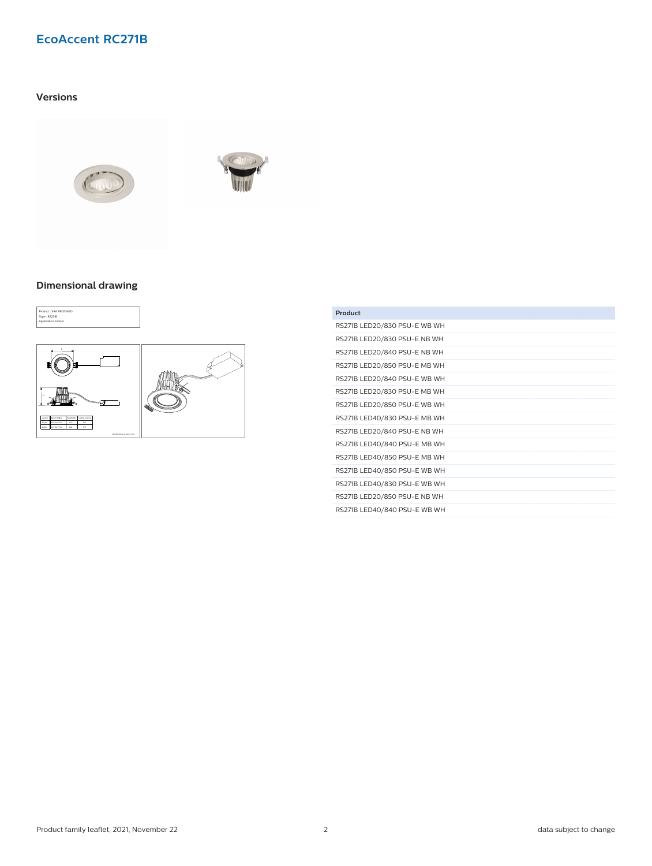# **EcoAccent RC271B**

# **Versions**





### **Dimensional drawing**



| Product                      |
|------------------------------|
| RS271B LED20/830 PSU-E WB WH |
| RS271B LED20/830 PSU-E NB WH |
| RS271B LED20/840 PSU-E NB WH |
| RS271B LED20/850 PSU-E MB WH |
| RS271B LED20/840 PSU-E WB WH |
| RS271B LED20/830 PSU-E MB WH |
| RS271B LED20/850 PSU-E WB WH |
| RS271B LED40/830 PSU-E MB WH |
| RS271B LED20/840 PSU-E NB WH |
| RS271B LED40/840 PSU-E MB WH |
| RS271B LED40/850 PSU-E MB WH |
| RS271B LED40/850 PSU-E WB WH |
| RS271B LED40/830 PSU-E WB WH |
| RS271B LED20/850 PSU-E NB WH |
| RS271B LED40/840 PSU-E WB WH |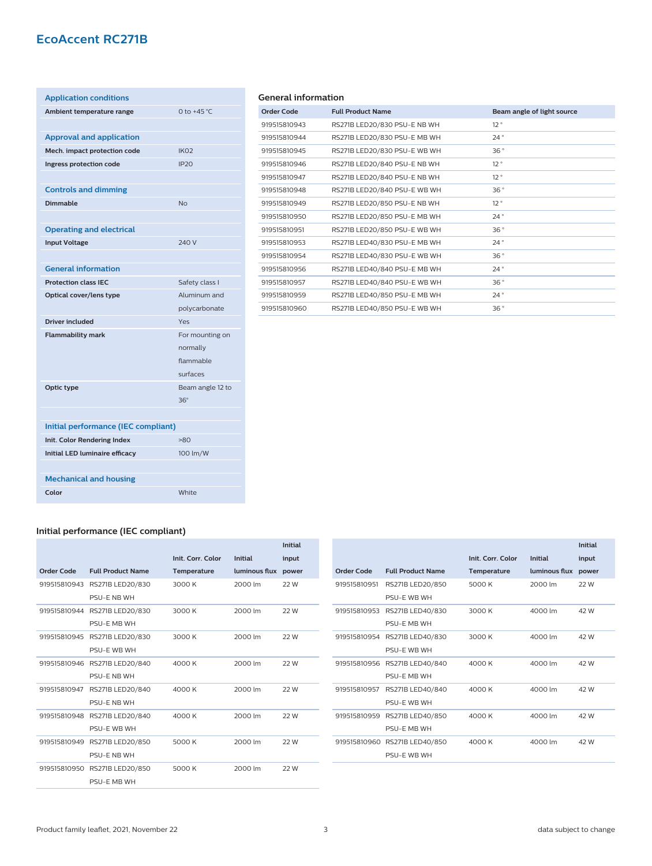# **EcoAccent RC271B**

| <b>Application conditions</b>         |                  |
|---------------------------------------|------------------|
| Ambient temperature range             | 0 to $+45$ °C    |
|                                       |                  |
| <b>Approval and application</b>       |                  |
| Mech. impact protection code          | IK <sub>02</sub> |
| Ingress protection code               | IP <sub>20</sub> |
|                                       |                  |
| <b>Controls and dimming</b>           |                  |
| <b>Dimmable</b>                       | <b>No</b>        |
|                                       |                  |
| <b>Operating and electrical</b>       |                  |
| <b>Input Voltage</b>                  | 240 V            |
|                                       |                  |
| <b>General information</b>            |                  |
| <b>Protection class IEC</b>           | Safety class I   |
| Optical cover/lens type               | Aluminum and     |
|                                       | polycarbonate    |
| <b>Driver included</b>                | Yes              |
| <b>Flammability mark</b>              | For mounting on  |
|                                       | normally         |
|                                       | flammable        |
|                                       | surfaces         |
| Optic type                            | Beam angle 12 to |
|                                       | $36^\circ$       |
|                                       |                  |
| Initial performance (IEC compliant)   |                  |
| Init. Color Rendering Index           | $-80$            |
| <b>Initial LED luminaire efficacy</b> | 100 lm/W         |
|                                       |                  |
| <b>Mechanical and housing</b>         |                  |
|                                       |                  |

### **General information**

| <b>Order Code</b> | <b>Full Product Name</b>     | Beam angle of light source |
|-------------------|------------------------------|----------------------------|
| 919515810943      | RS271B LED20/830 PSU-E NB WH | 12°                        |
| 919515810944      | RS271B LED20/830 PSU-E MB WH | 24°                        |
| 919515810945      | RS271B LED20/830 PSU-E WB WH | 36°                        |
| 919515810946      | RS271B LED20/840 PSU-E NB WH | 12°                        |
| 919515810947      | RS271B LED20/840 PSU-E NB WH | 12°                        |
| 919515810948      | RS271B LED20/840 PSU-E WB WH | 36°                        |
| 919515810949      | RS271B LED20/850 PSU-E NB WH | 12°                        |
| 919515810950      | RS271B LED20/850 PSU-E MB WH | 24°                        |
| 919515810951      | RS271B LED20/850 PSU-E WB WH | 36°                        |
| 919515810953      | RS271B LED40/830 PSU-E MB WH | 24°                        |
| 919515810954      | RS271B LED40/830 PSU-E WB WH | 36°                        |
| 919515810956      | RS271B LED40/840 PSU-E MB WH | 24°                        |
| 919515810957      | RS271B LED40/840 PSU-E WB WH | 36°                        |
| 919515810959      | RS271B LED40/850 PSU-E MB WH | 24°                        |
| 919515810960      | RS271B LED40/850 PSU-E WB WH | 36°                        |
|                   |                              |                            |

### **Initial performance (IEC compliant)**

|              |                               |                   |                     | <b>Initial</b> |              |                               |                   |                |
|--------------|-------------------------------|-------------------|---------------------|----------------|--------------|-------------------------------|-------------------|----------------|
|              |                               | Init. Corr. Color | <b>Initial</b>      | input          |              |                               | Init. Corr. Color | <b>Initial</b> |
| Order Code   | <b>Full Product Name</b>      | Temperature       | luminous flux power |                | Order Code   | <b>Full Product Name</b>      | Temperature       | luminous flux  |
| 919515810943 | RS271B LED20/830              | 3000 K            | 2000 lm             | 22 W           | 919515810951 | RS271B LED20/850              | 5000 K            | 2000 lm        |
|              | PSU-E NB WH                   |                   |                     |                |              | PSU-E WB WH                   |                   |                |
|              | 919515810944 RS271B LED20/830 | 3000 K            | 2000 lm             | 22 W           | 919515810953 | RS271B LED40/830              | 3000 K            | 4000 lm        |
|              | PSU-E MB WH                   |                   |                     |                |              | PSU-E MB WH                   |                   |                |
|              | 919515810945 RS271B LED20/830 | 3000 K            | 2000 lm             | 22 W           | 919515810954 | RS271B LED40/830              | 3000 K            | 4000 lm        |
|              | PSU-E WB WH                   |                   |                     |                |              | PSU-E WB WH                   |                   |                |
|              | 919515810946 RS271B LED20/840 | 4000 K            | 2000 lm             | 22 W           |              | 919515810956 RS271B LED40/840 | 4000 K            | 4000 lm        |
|              | PSU-E NB WH                   |                   |                     |                |              | PSU-E MB WH                   |                   |                |
| 919515810947 | RS271B LED20/840              | 4000 K            | 2000 lm             | 22 W           | 919515810957 | RS271B LED40/840              | 4000 K            | 4000 lm        |
|              | PSU-E NB WH                   |                   |                     |                |              | PSU-E WB WH                   |                   |                |
|              | 919515810948 RS271B LED20/840 | 4000 K            | 2000 lm             | 22 W           | 919515810959 | RS271B LED40/850              | 4000 K            | 4000 lm        |
|              | PSU-E WB WH                   |                   |                     |                |              | PSU-E MB WH                   |                   |                |
|              | 919515810949 RS271B LED20/850 | 5000 K            | 2000 lm             | 22 W           |              | 919515810960 RS271B LED40/850 | 4000 K            | 4000 lm        |
|              | PSU-E NB WH                   |                   |                     |                |              | PSU-E WB WH                   |                   |                |
|              | 919515810950 RS271B LED20/850 | 5000 K            | 2000 lm             | 22 W           |              |                               |                   |                |
|              | PSU-E MB WH                   |                   |                     |                |              |                               |                   |                |

**Initial input power**

 $22W$ 

 $42 W$ 

 $42 W$ 

42 W

42 W

 $42W$ 

 $42W$